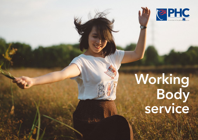

# Working Body service